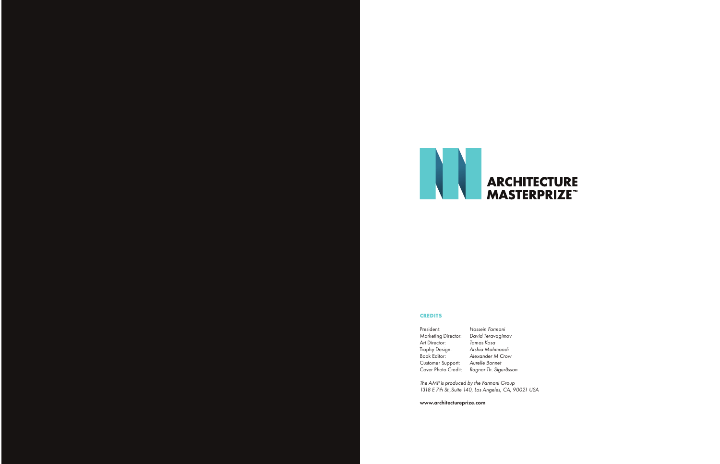

## **CREDITS**

Customer Support:

President: Hossein Farmani Marketing Director: David Teravagimov<br>Art Director: Tamas Kosa Art Director: Tamas Kosa<br>Trophy Design: Arshia Mahm Trophy Design: Arshia Mahmoodi Alexander M Crow<br>Aurelie Bonnet Cover Photo Credit: Ragnar Th. Sigurðsson

The AMP is produced by the Farmani Group 1318 E 7th St.,Suite 140, Los Angeles, CA, 90021 USA

www.architectureprize.com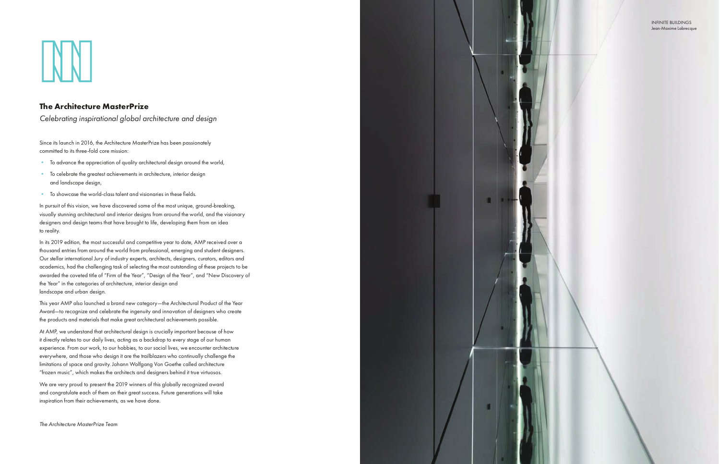## The Architecture MasterPrize

Celebrating inspirational global architecture and design

Since its launch in 2016, the Architecture MasterPrize has been passionately committed to its three-fold core mission:

- To advance the appreciation of quality architectural design around the world,
- To celebrate the greatest achievements in architecture, interior design and landscape design,
- To showcase the world-class talent and visionaries in these fields.

In pursuit of this vision, we have discovered some of the most unique, ground-breaking, visually stunning architectural and interior designs from around the world, and the visionary designers and design teams that have brought to life, developing them from an idea to reality.

In its 2019 edition, the most successful and competitive year to date, AMP received over a thousand entries from around the world from professional, emerging and student designers. Our stellar international Jury of industry experts, architects, designers, curators, editors and academics, had the challenging task of selecting the most outstanding of these projects to be awarded the coveted title of "Firm of the Year", "Design of the Year", and "New Discovery of the Year" in the categories of architecture, interior design and landscape and urban design.

This year AMP also launched a brand new category—the Architectural Product of the Year Award—to recognize and celebrate the ingenuity and innovation of designers who create the products and materials that make great architectural achievements possible.

At AMP, we understand that architectural design is crucially important because of how it directly relates to our daily lives, acting as a backdrop to every stage of our human experience. From our work, to our hobbies, to our social lives, we encounter architecture everywhere, and those who design it are the trailblazers who continually challenge the limitations of space and gravity. Johann Wolfgang Von Goethe called architecture "frozen music", which makes the architects and designers behind it true virtuosos.

We are very proud to present the 2019 winners of this globally recognized award and congratulate each of them on their great success. Future generations will take inspiration from their achievements, as we have done.

The Architecture MasterPrize Team